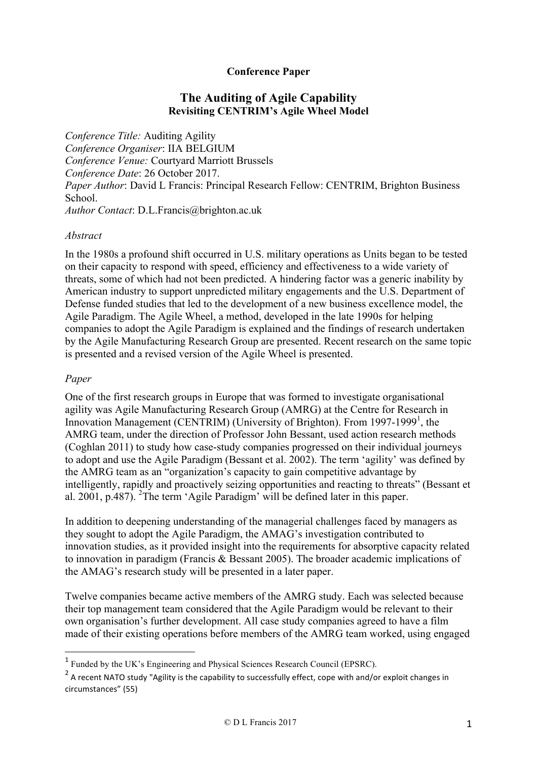## **Conference Paper**

# **The Auditing of Agile Capability Revisiting CENTRIM's Agile Wheel Model**

*Conference Title:* Auditing Agility *Conference Organiser*: IIA BELGIUM *Conference Venue:* Courtyard Marriott Brussels *Conference Date*: 26 October 2017. *Paper Author*: David L Francis: Principal Research Fellow: CENTRIM, Brighton Business School. *Author Contact*: D.L.Francis@brighton.ac.uk

### *Abstract*

In the 1980s a profound shift occurred in U.S. military operations as Units began to be tested on their capacity to respond with speed, efficiency and effectiveness to a wide variety of threats, some of which had not been predicted. A hindering factor was a generic inability by American industry to support unpredicted military engagements and the U.S. Department of Defense funded studies that led to the development of a new business excellence model, the Agile Paradigm. The Agile Wheel, a method, developed in the late 1990s for helping companies to adopt the Agile Paradigm is explained and the findings of research undertaken by the Agile Manufacturing Research Group are presented. Recent research on the same topic is presented and a revised version of the Agile Wheel is presented.

### *Paper*

 $\overline{a}$ 

One of the first research groups in Europe that was formed to investigate organisational agility was Agile Manufacturing Research Group (AMRG) at the Centre for Research in Innovation Management (CENTRIM) (University of Brighton). From 1997-1999<sup>1</sup>, the AMRG team, under the direction of Professor John Bessant, used action research methods (Coghlan 2011) to study how case-study companies progressed on their individual journeys to adopt and use the Agile Paradigm (Bessant et al. 2002). The term 'agility' was defined by the AMRG team as an "organization's capacity to gain competitive advantage by intelligently, rapidly and proactively seizing opportunities and reacting to threats" (Bessant et al.  $2001$ , p.487). <sup>2</sup>The term 'Agile Paradigm' will be defined later in this paper.

In addition to deepening understanding of the managerial challenges faced by managers as they sought to adopt the Agile Paradigm, the AMAG's investigation contributed to innovation studies, as it provided insight into the requirements for absorptive capacity related to innovation in paradigm (Francis & Bessant 2005). The broader academic implications of the AMAG's research study will be presented in a later paper.

Twelve companies became active members of the AMRG study. Each was selected because their top management team considered that the Agile Paradigm would be relevant to their own organisation's further development. All case study companies agreed to have a film made of their existing operations before members of the AMRG team worked, using engaged

<sup>1</sup> Funded by the UK's Engineering and Physical Sciences Research Council (EPSRC).

 $2$  A recent NATO study "Agility is the capability to successfully effect, cope with and/or exploit changes in circumstances" (55)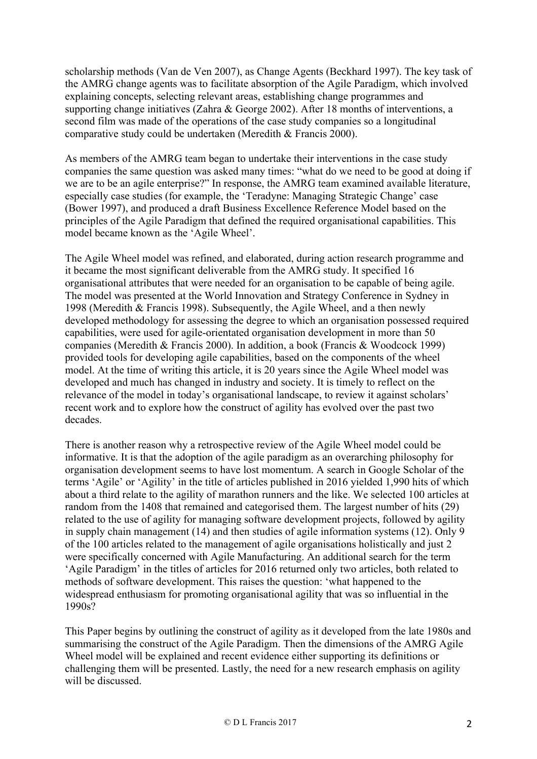scholarship methods (Van de Ven 2007), as Change Agents (Beckhard 1997). The key task of the AMRG change agents was to facilitate absorption of the Agile Paradigm, which involved explaining concepts, selecting relevant areas, establishing change programmes and supporting change initiatives (Zahra & George 2002). After 18 months of interventions, a second film was made of the operations of the case study companies so a longitudinal comparative study could be undertaken (Meredith & Francis 2000).

As members of the AMRG team began to undertake their interventions in the case study companies the same question was asked many times: "what do we need to be good at doing if we are to be an agile enterprise?" In response, the AMRG team examined available literature, especially case studies (for example, the 'Teradyne: Managing Strategic Change' case (Bower 1997), and produced a draft Business Excellence Reference Model based on the principles of the Agile Paradigm that defined the required organisational capabilities. This model became known as the 'Agile Wheel'.

The Agile Wheel model was refined, and elaborated, during action research programme and it became the most significant deliverable from the AMRG study. It specified 16 organisational attributes that were needed for an organisation to be capable of being agile. The model was presented at the World Innovation and Strategy Conference in Sydney in 1998 (Meredith & Francis 1998). Subsequently, the Agile Wheel, and a then newly developed methodology for assessing the degree to which an organisation possessed required capabilities, were used for agile-orientated organisation development in more than 50 companies (Meredith & Francis 2000). In addition, a book (Francis & Woodcock 1999) provided tools for developing agile capabilities, based on the components of the wheel model. At the time of writing this article, it is 20 years since the Agile Wheel model was developed and much has changed in industry and society. It is timely to reflect on the relevance of the model in today's organisational landscape, to review it against scholars' recent work and to explore how the construct of agility has evolved over the past two decades.

There is another reason why a retrospective review of the Agile Wheel model could be informative. It is that the adoption of the agile paradigm as an overarching philosophy for organisation development seems to have lost momentum. A search in Google Scholar of the terms 'Agile' or 'Agility' in the title of articles published in 2016 yielded 1,990 hits of which about a third relate to the agility of marathon runners and the like. We selected 100 articles at random from the 1408 that remained and categorised them. The largest number of hits (29) related to the use of agility for managing software development projects, followed by agility in supply chain management (14) and then studies of agile information systems (12). Only 9 of the 100 articles related to the management of agile organisations holistically and just 2 were specifically concerned with Agile Manufacturing. An additional search for the term 'Agile Paradigm' in the titles of articles for 2016 returned only two articles, both related to methods of software development. This raises the question: 'what happened to the widespread enthusiasm for promoting organisational agility that was so influential in the 1990s?

This Paper begins by outlining the construct of agility as it developed from the late 1980s and summarising the construct of the Agile Paradigm. Then the dimensions of the AMRG Agile Wheel model will be explained and recent evidence either supporting its definitions or challenging them will be presented. Lastly, the need for a new research emphasis on agility will be discussed.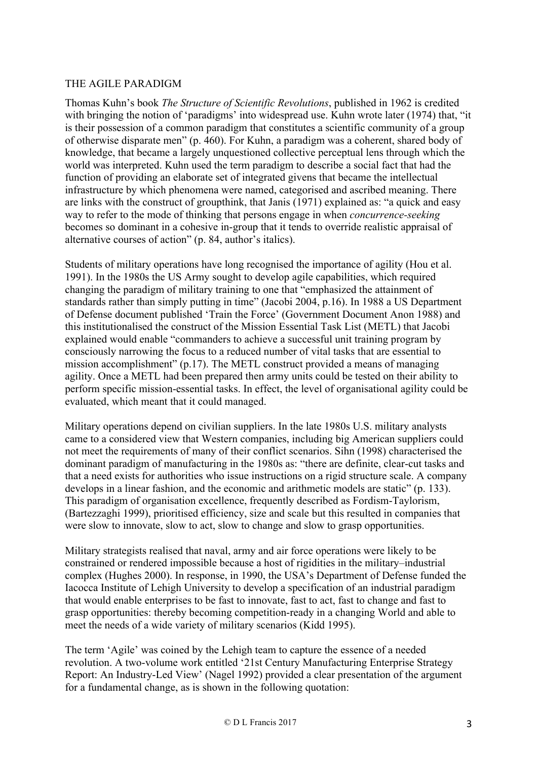### THE AGILE PARADIGM

Thomas Kuhn's book *The Structure of Scientific Revolutions*, published in 1962 is credited with bringing the notion of 'paradigms' into widespread use. Kuhn wrote later (1974) that, "it is their possession of a common paradigm that constitutes a scientific community of a group of otherwise disparate men" (p. 460). For Kuhn, a paradigm was a coherent, shared body of knowledge, that became a largely unquestioned collective perceptual lens through which the world was interpreted. Kuhn used the term paradigm to describe a social fact that had the function of providing an elaborate set of integrated givens that became the intellectual infrastructure by which phenomena were named, categorised and ascribed meaning. There are links with the construct of groupthink, that Janis (1971) explained as: "a quick and easy way to refer to the mode of thinking that persons engage in when *concurrence-seeking* becomes so dominant in a cohesive in-group that it tends to override realistic appraisal of alternative courses of action" (p. 84, author's italics).

Students of military operations have long recognised the importance of agility (Hou et al. 1991). In the 1980s the US Army sought to develop agile capabilities, which required changing the paradigm of military training to one that "emphasized the attainment of standards rather than simply putting in time" (Jacobi 2004, p.16). In 1988 a US Department of Defense document published 'Train the Force' (Government Document Anon 1988) and this institutionalised the construct of the Mission Essential Task List (METL) that Jacobi explained would enable "commanders to achieve a successful unit training program by consciously narrowing the focus to a reduced number of vital tasks that are essential to mission accomplishment" (p.17). The METL construct provided a means of managing agility. Once a METL had been prepared then army units could be tested on their ability to perform specific mission-essential tasks. In effect, the level of organisational agility could be evaluated, which meant that it could managed.

Military operations depend on civilian suppliers. In the late 1980s U.S. military analysts came to a considered view that Western companies, including big American suppliers could not meet the requirements of many of their conflict scenarios. Sihn (1998) characterised the dominant paradigm of manufacturing in the 1980s as: "there are definite, clear-cut tasks and that a need exists for authorities who issue instructions on a rigid structure scale. A company develops in a linear fashion, and the economic and arithmetic models are static" (p. 133). This paradigm of organisation excellence, frequently described as Fordism-Taylorism, (Bartezzaghi 1999), prioritised efficiency, size and scale but this resulted in companies that were slow to innovate, slow to act, slow to change and slow to grasp opportunities.

Military strategists realised that naval, army and air force operations were likely to be constrained or rendered impossible because a host of rigidities in the military–industrial complex (Hughes 2000). In response, in 1990, the USA's Department of Defense funded the Iacocca Institute of Lehigh University to develop a specification of an industrial paradigm that would enable enterprises to be fast to innovate, fast to act, fast to change and fast to grasp opportunities: thereby becoming competition-ready in a changing World and able to meet the needs of a wide variety of military scenarios (Kidd 1995).

The term 'Agile' was coined by the Lehigh team to capture the essence of a needed revolution. A two-volume work entitled '21st Century Manufacturing Enterprise Strategy Report: An Industry-Led View' (Nagel 1992) provided a clear presentation of the argument for a fundamental change, as is shown in the following quotation: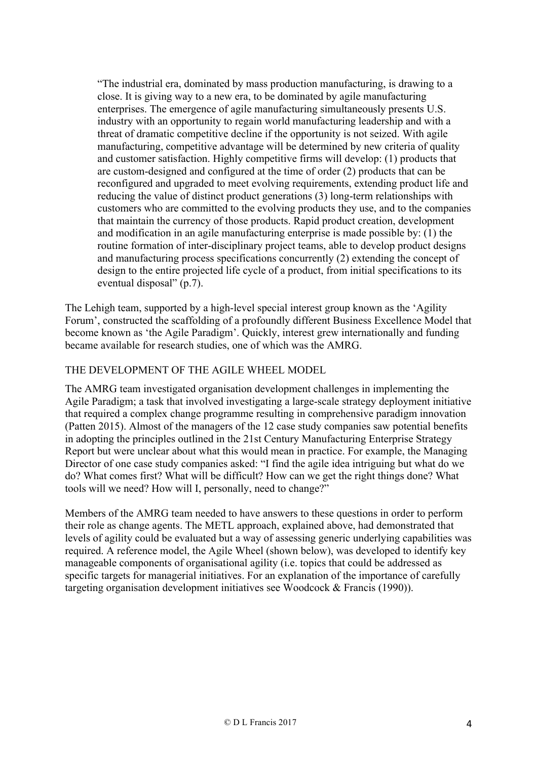"The industrial era, dominated by mass production manufacturing, is drawing to a close. It is giving way to a new era, to be dominated by agile manufacturing enterprises. The emergence of agile manufacturing simultaneously presents U.S. industry with an opportunity to regain world manufacturing leadership and with a threat of dramatic competitive decline if the opportunity is not seized. With agile manufacturing, competitive advantage will be determined by new criteria of quality and customer satisfaction. Highly competitive firms will develop: (1) products that are custom-designed and configured at the time of order (2) products that can be reconfigured and upgraded to meet evolving requirements, extending product life and reducing the value of distinct product generations (3) long-term relationships with customers who are committed to the evolving products they use, and to the companies that maintain the currency of those products. Rapid product creation, development and modification in an agile manufacturing enterprise is made possible by: (1) the routine formation of inter-disciplinary project teams, able to develop product designs and manufacturing process specifications concurrently (2) extending the concept of design to the entire projected life cycle of a product, from initial specifications to its eventual disposal" (p.7).

The Lehigh team, supported by a high-level special interest group known as the 'Agility Forum', constructed the scaffolding of a profoundly different Business Excellence Model that become known as 'the Agile Paradigm'. Quickly, interest grew internationally and funding became available for research studies, one of which was the AMRG.

## THE DEVELOPMENT OF THE AGILE WHEEL MODEL

The AMRG team investigated organisation development challenges in implementing the Agile Paradigm; a task that involved investigating a large-scale strategy deployment initiative that required a complex change programme resulting in comprehensive paradigm innovation (Patten 2015). Almost of the managers of the 12 case study companies saw potential benefits in adopting the principles outlined in the 21st Century Manufacturing Enterprise Strategy Report but were unclear about what this would mean in practice. For example, the Managing Director of one case study companies asked: "I find the agile idea intriguing but what do we do? What comes first? What will be difficult? How can we get the right things done? What tools will we need? How will I, personally, need to change?"

Members of the AMRG team needed to have answers to these questions in order to perform their role as change agents. The METL approach, explained above, had demonstrated that levels of agility could be evaluated but a way of assessing generic underlying capabilities was required. A reference model, the Agile Wheel (shown below), was developed to identify key manageable components of organisational agility (i.e. topics that could be addressed as specific targets for managerial initiatives. For an explanation of the importance of carefully targeting organisation development initiatives see Woodcock & Francis (1990)).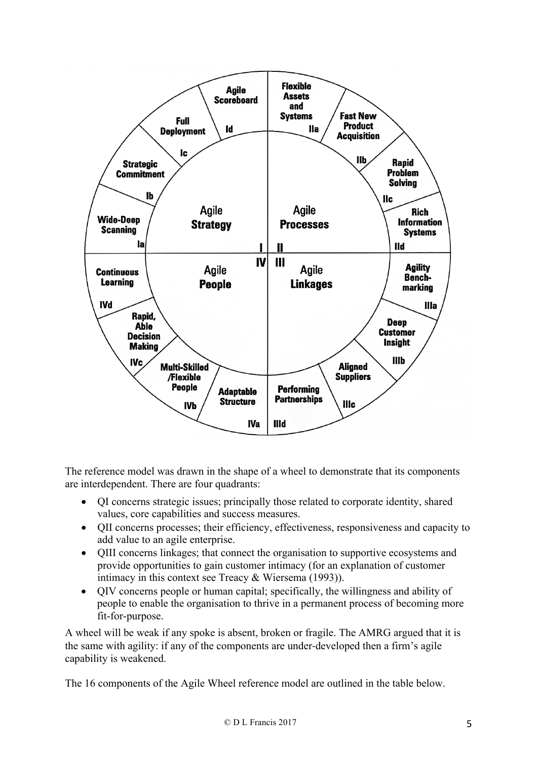

The reference model was drawn in the shape of a wheel to demonstrate that its components are interdependent. There are four quadrants:

- QI concerns strategic issues; principally those related to corporate identity, shared values, core capabilities and success measures.
- QII concerns processes; their efficiency, effectiveness, responsiveness and capacity to add value to an agile enterprise.
- QIII concerns linkages; that connect the organisation to supportive ecosystems and provide opportunities to gain customer intimacy (for an explanation of customer intimacy in this context see Treacy & Wiersema (1993)).
- QIV concerns people or human capital; specifically, the willingness and ability of people to enable the organisation to thrive in a permanent process of becoming more fit-for-purpose.

A wheel will be weak if any spoke is absent, broken or fragile. The AMRG argued that it is the same with agility: if any of the components are under-developed then a firm's agile capability is weakened.

The 16 components of the Agile Wheel reference model are outlined in the table below.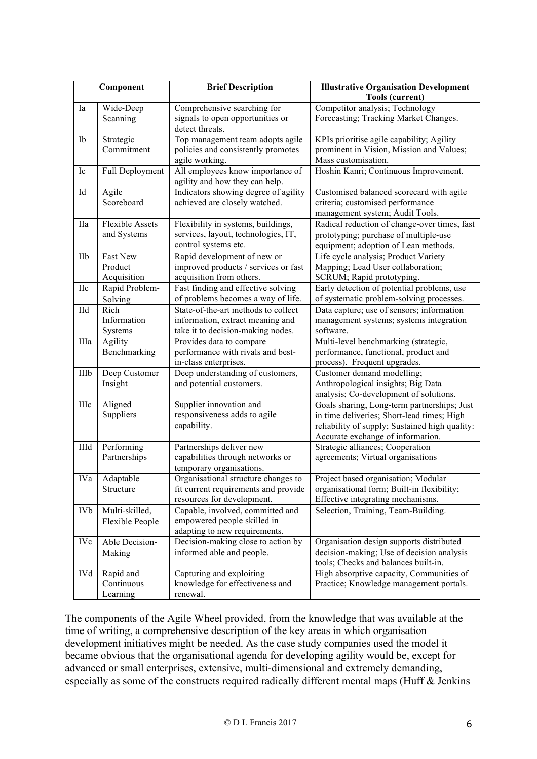| Component           |                                       | <b>Brief Description</b>                                                                                     | <b>Illustrative Organisation Development</b><br><b>Tools (current)</b>                                                                                                           |  |
|---------------------|---------------------------------------|--------------------------------------------------------------------------------------------------------------|----------------------------------------------------------------------------------------------------------------------------------------------------------------------------------|--|
| Ia                  | Wide-Deep<br>Scanning                 | Comprehensive searching for<br>signals to open opportunities or<br>detect threats.                           | Competitor analysis; Technology<br>Forecasting; Tracking Market Changes.                                                                                                         |  |
| Ib                  | Strategic<br>Commitment               | Top management team adopts agile<br>policies and consistently promotes<br>agile working.                     | KPIs prioritise agile capability; Agility<br>prominent in Vision, Mission and Values;<br>Mass customisation.                                                                     |  |
| Ic                  | Full Deployment                       | All employees know importance of<br>agility and how they can help.                                           | Hoshin Kanri; Continuous Improvement.                                                                                                                                            |  |
| $\operatorname{Id}$ | Agile<br>Scoreboard                   | Indicators showing degree of agility<br>achieved are closely watched.                                        | Customised balanced scorecard with agile<br>criteria; customised performance<br>management system; Audit Tools.                                                                  |  |
| <b>IIa</b>          | <b>Flexible Assets</b><br>and Systems | Flexibility in systems, buildings,<br>services, layout, technologies, IT,<br>control systems etc.            | Radical reduction of change-over times, fast<br>prototyping; purchase of multiple-use<br>equipment; adoption of Lean methods.                                                    |  |
| IIb                 | Fast New<br>Product<br>Acquisition    | Rapid development of new or<br>improved products / services or fast<br>acquisition from others.              | Life cycle analysis; Product Variety<br>Mapping; Lead User collaboration;<br>SCRUM; Rapid prototyping.                                                                           |  |
| <b>IIc</b>          | Rapid Problem-<br>Solving             | Fast finding and effective solving<br>of problems becomes a way of life.                                     | Early detection of potential problems, use<br>of systematic problem-solving processes.                                                                                           |  |
| IId                 | Rich<br>Information<br>Systems        | State-of-the-art methods to collect<br>information, extract meaning and<br>take it to decision-making nodes. | Data capture; use of sensors; information<br>management systems; systems integration<br>software.                                                                                |  |
| IIIa                | Agility<br>Benchmarking               | Provides data to compare<br>performance with rivals and best-<br>in-class enterprises.                       | Multi-level benchmarking (strategic,<br>performance, functional, product and<br>process). Frequent upgrades.                                                                     |  |
| IIIb                | Deep Customer<br>Insight              | Deep understanding of customers,<br>and potential customers.                                                 | Customer demand modelling;<br>Anthropological insights; Big Data<br>analysis; Co-development of solutions.                                                                       |  |
| $\rm IIIc$          | Aligned<br>Suppliers                  | Supplier innovation and<br>responsiveness adds to agile<br>capability.                                       | Goals sharing, Long-term partnerships; Just<br>in time deliveries; Short-lead times; High<br>reliability of supply; Sustained high quality:<br>Accurate exchange of information. |  |
| IIId                | Performing<br>Partnerships            | Partnerships deliver new<br>capabilities through networks or<br>temporary organisations.                     | Strategic alliances; Cooperation<br>agreements; Virtual organisations                                                                                                            |  |
| IVa                 | Adaptable<br>Structure                | Organisational structure changes to<br>fit current requirements and provide<br>resources for development.    | Project based organisation; Modular<br>organisational form; Built-in flexibility;<br>Effective integrating mechanisms.                                                           |  |
| <b>IVb</b>          | Multi-skilled,<br>Flexible People     | Capable, involved, committed and<br>empowered people skilled in<br>adapting to new requirements.             | Selection, Training, Team-Building.                                                                                                                                              |  |
| <b>IVc</b>          | Able Decision-<br>Making              | Decision-making close to action by<br>informed able and people.                                              | Organisation design supports distributed<br>decision-making; Use of decision analysis<br>tools; Checks and balances built-in.                                                    |  |
| <b>IVd</b>          | Rapid and<br>Continuous<br>Learning   | Capturing and exploiting<br>knowledge for effectiveness and<br>renewal.                                      | High absorptive capacity, Communities of<br>Practice; Knowledge management portals.                                                                                              |  |

The components of the Agile Wheel provided, from the knowledge that was available at the time of writing, a comprehensive description of the key areas in which organisation development initiatives might be needed. As the case study companies used the model it became obvious that the organisational agenda for developing agility would be, except for advanced or small enterprises, extensive, multi-dimensional and extremely demanding, especially as some of the constructs required radically different mental maps (Huff & Jenkins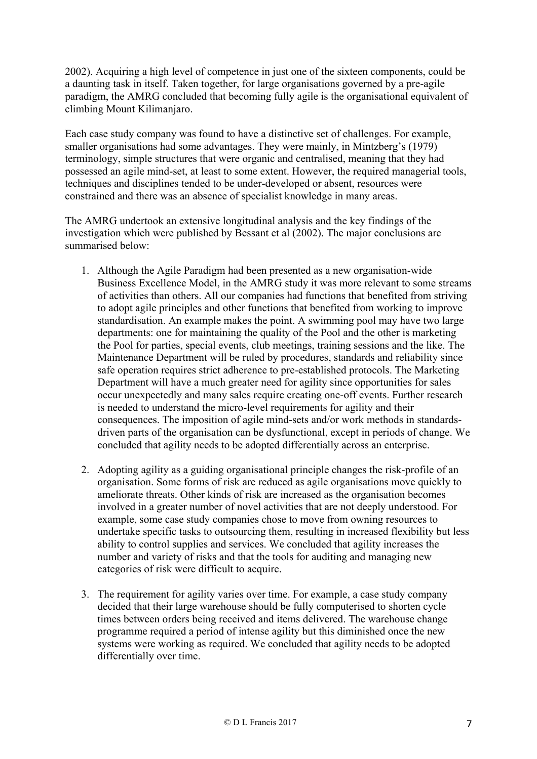2002). Acquiring a high level of competence in just one of the sixteen components, could be a daunting task in itself. Taken together, for large organisations governed by a pre-agile paradigm, the AMRG concluded that becoming fully agile is the organisational equivalent of climbing Mount Kilimanjaro.

Each case study company was found to have a distinctive set of challenges. For example, smaller organisations had some advantages. They were mainly, in Mintzberg's (1979) terminology, simple structures that were organic and centralised, meaning that they had possessed an agile mind-set, at least to some extent. However, the required managerial tools, techniques and disciplines tended to be under-developed or absent, resources were constrained and there was an absence of specialist knowledge in many areas.

The AMRG undertook an extensive longitudinal analysis and the key findings of the investigation which were published by Bessant et al (2002). The major conclusions are summarised below:

- 1. Although the Agile Paradigm had been presented as a new organisation-wide Business Excellence Model, in the AMRG study it was more relevant to some streams of activities than others. All our companies had functions that benefited from striving to adopt agile principles and other functions that benefited from working to improve standardisation. An example makes the point. A swimming pool may have two large departments: one for maintaining the quality of the Pool and the other is marketing the Pool for parties, special events, club meetings, training sessions and the like. The Maintenance Department will be ruled by procedures, standards and reliability since safe operation requires strict adherence to pre-established protocols. The Marketing Department will have a much greater need for agility since opportunities for sales occur unexpectedly and many sales require creating one-off events. Further research is needed to understand the micro-level requirements for agility and their consequences. The imposition of agile mind-sets and/or work methods in standardsdriven parts of the organisation can be dysfunctional, except in periods of change. We concluded that agility needs to be adopted differentially across an enterprise.
- 2. Adopting agility as a guiding organisational principle changes the risk-profile of an organisation. Some forms of risk are reduced as agile organisations move quickly to ameliorate threats. Other kinds of risk are increased as the organisation becomes involved in a greater number of novel activities that are not deeply understood. For example, some case study companies chose to move from owning resources to undertake specific tasks to outsourcing them, resulting in increased flexibility but less ability to control supplies and services. We concluded that agility increases the number and variety of risks and that the tools for auditing and managing new categories of risk were difficult to acquire.
- 3. The requirement for agility varies over time. For example, a case study company decided that their large warehouse should be fully computerised to shorten cycle times between orders being received and items delivered. The warehouse change programme required a period of intense agility but this diminished once the new systems were working as required. We concluded that agility needs to be adopted differentially over time.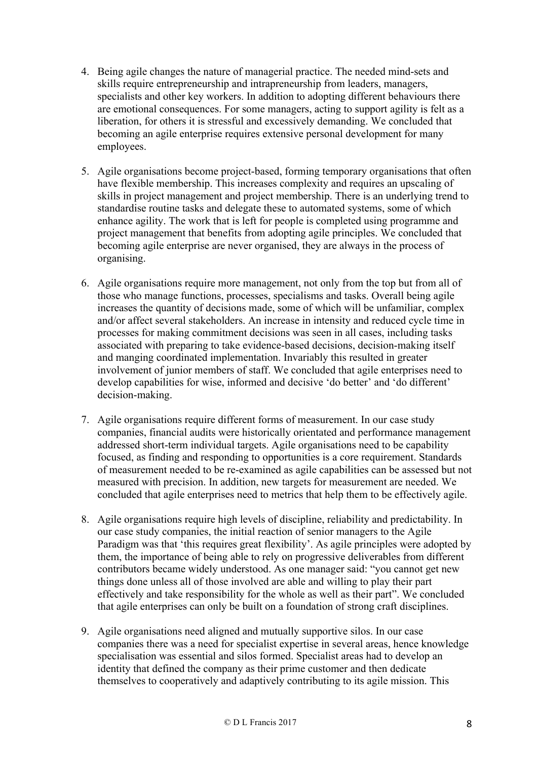- 4. Being agile changes the nature of managerial practice. The needed mind-sets and skills require entrepreneurship and intrapreneurship from leaders, managers, specialists and other key workers. In addition to adopting different behaviours there are emotional consequences. For some managers, acting to support agility is felt as a liberation, for others it is stressful and excessively demanding. We concluded that becoming an agile enterprise requires extensive personal development for many employees.
- 5. Agile organisations become project-based, forming temporary organisations that often have flexible membership. This increases complexity and requires an upscaling of skills in project management and project membership. There is an underlying trend to standardise routine tasks and delegate these to automated systems, some of which enhance agility. The work that is left for people is completed using programme and project management that benefits from adopting agile principles. We concluded that becoming agile enterprise are never organised, they are always in the process of organising.
- 6. Agile organisations require more management, not only from the top but from all of those who manage functions, processes, specialisms and tasks. Overall being agile increases the quantity of decisions made, some of which will be unfamiliar, complex and/or affect several stakeholders. An increase in intensity and reduced cycle time in processes for making commitment decisions was seen in all cases, including tasks associated with preparing to take evidence-based decisions, decision-making itself and manging coordinated implementation. Invariably this resulted in greater involvement of junior members of staff. We concluded that agile enterprises need to develop capabilities for wise, informed and decisive 'do better' and 'do different' decision-making.
- 7. Agile organisations require different forms of measurement. In our case study companies, financial audits were historically orientated and performance management addressed short-term individual targets. Agile organisations need to be capability focused, as finding and responding to opportunities is a core requirement. Standards of measurement needed to be re-examined as agile capabilities can be assessed but not measured with precision. In addition, new targets for measurement are needed. We concluded that agile enterprises need to metrics that help them to be effectively agile.
- 8. Agile organisations require high levels of discipline, reliability and predictability. In our case study companies, the initial reaction of senior managers to the Agile Paradigm was that 'this requires great flexibility'. As agile principles were adopted by them, the importance of being able to rely on progressive deliverables from different contributors became widely understood. As one manager said: "you cannot get new things done unless all of those involved are able and willing to play their part effectively and take responsibility for the whole as well as their part". We concluded that agile enterprises can only be built on a foundation of strong craft disciplines.
- 9. Agile organisations need aligned and mutually supportive silos. In our case companies there was a need for specialist expertise in several areas, hence knowledge specialisation was essential and silos formed. Specialist areas had to develop an identity that defined the company as their prime customer and then dedicate themselves to cooperatively and adaptively contributing to its agile mission. This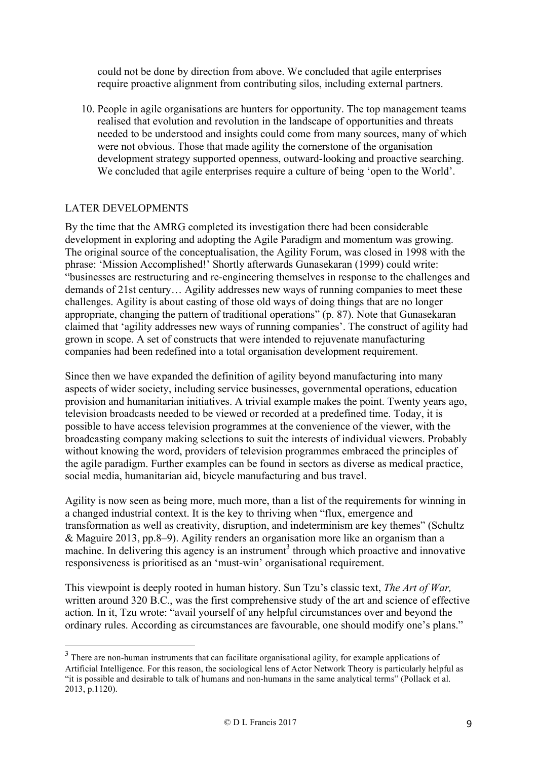could not be done by direction from above. We concluded that agile enterprises require proactive alignment from contributing silos, including external partners.

10. People in agile organisations are hunters for opportunity. The top management teams realised that evolution and revolution in the landscape of opportunities and threats needed to be understood and insights could come from many sources, many of which were not obvious. Those that made agility the cornerstone of the organisation development strategy supported openness, outward-looking and proactive searching. We concluded that agile enterprises require a culture of being 'open to the World'.

### LATER DEVELOPMENTS

By the time that the AMRG completed its investigation there had been considerable development in exploring and adopting the Agile Paradigm and momentum was growing. The original source of the conceptualisation, the Agility Forum, was closed in 1998 with the phrase: 'Mission Accomplished!' Shortly afterwards Gunasekaran (1999) could write: "businesses are restructuring and re-engineering themselves in response to the challenges and demands of 21st century… Agility addresses new ways of running companies to meet these challenges. Agility is about casting of those old ways of doing things that are no longer appropriate, changing the pattern of traditional operations" (p. 87). Note that Gunasekaran claimed that 'agility addresses new ways of running companies'. The construct of agility had grown in scope. A set of constructs that were intended to rejuvenate manufacturing companies had been redefined into a total organisation development requirement.

Since then we have expanded the definition of agility beyond manufacturing into many aspects of wider society, including service businesses, governmental operations, education provision and humanitarian initiatives. A trivial example makes the point. Twenty years ago, television broadcasts needed to be viewed or recorded at a predefined time. Today, it is possible to have access television programmes at the convenience of the viewer, with the broadcasting company making selections to suit the interests of individual viewers. Probably without knowing the word, providers of television programmes embraced the principles of the agile paradigm. Further examples can be found in sectors as diverse as medical practice, social media, humanitarian aid, bicycle manufacturing and bus travel.

Agility is now seen as being more, much more, than a list of the requirements for winning in a changed industrial context. It is the key to thriving when "flux, emergence and transformation as well as creativity, disruption, and indeterminism are key themes" (Schultz & Maguire 2013, pp.8–9). Agility renders an organisation more like an organism than a machine. In delivering this agency is an instrument<sup>3</sup> through which proactive and innovative responsiveness is prioritised as an 'must-win' organisational requirement.

This viewpoint is deeply rooted in human history. Sun Tzu's classic text, *The Art of War,* written around 320 B.C., was the first comprehensive study of the art and science of effective action. In it, Tzu wrote: "avail yourself of any helpful circumstances over and beyond the ordinary rules. According as circumstances are favourable, one should modify one's plans."

<sup>&</sup>lt;sup>3</sup> There are non-human instruments that can facilitate organisational agility, for example applications of Artificial Intelligence. For this reason, the sociological lens of Actor Network Theory is particularly helpful as "it is possible and desirable to talk of humans and non-humans in the same analytical terms" (Pollack et al. 2013, p.1120).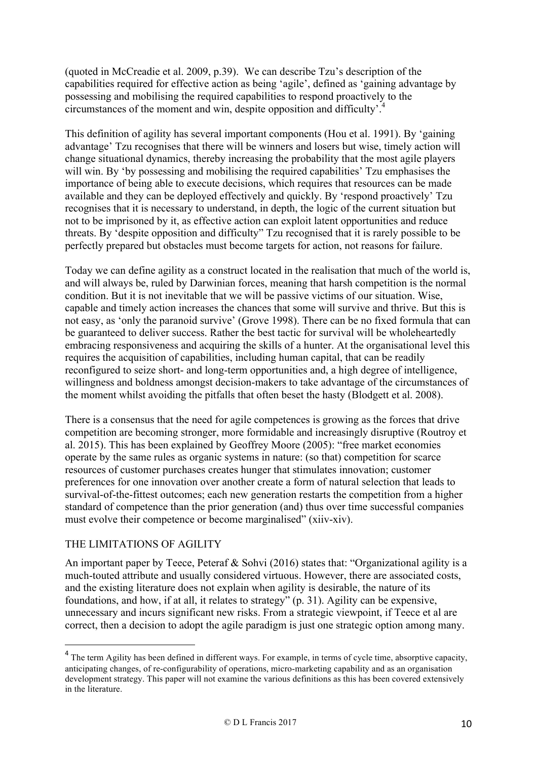(quoted in McCreadie et al. 2009, p.39). We can describe Tzu's description of the capabilities required for effective action as being 'agile', defined as 'gaining advantage by possessing and mobilising the required capabilities to respond proactively to the circumstances of the moment and win, despite opposition and difficulty<sup>74</sup>

This definition of agility has several important components (Hou et al. 1991). By 'gaining advantage' Tzu recognises that there will be winners and losers but wise, timely action will change situational dynamics, thereby increasing the probability that the most agile players will win. By 'by possessing and mobilising the required capabilities' Tzu emphasises the importance of being able to execute decisions, which requires that resources can be made available and they can be deployed effectively and quickly. By 'respond proactively' Tzu recognises that it is necessary to understand, in depth, the logic of the current situation but not to be imprisoned by it, as effective action can exploit latent opportunities and reduce threats. By 'despite opposition and difficulty" Tzu recognised that it is rarely possible to be perfectly prepared but obstacles must become targets for action, not reasons for failure.

Today we can define agility as a construct located in the realisation that much of the world is, and will always be, ruled by Darwinian forces, meaning that harsh competition is the normal condition. But it is not inevitable that we will be passive victims of our situation. Wise, capable and timely action increases the chances that some will survive and thrive. But this is not easy, as 'only the paranoid survive' (Grove 1998). There can be no fixed formula that can be guaranteed to deliver success. Rather the best tactic for survival will be wholeheartedly embracing responsiveness and acquiring the skills of a hunter. At the organisational level this requires the acquisition of capabilities, including human capital, that can be readily reconfigured to seize short- and long-term opportunities and, a high degree of intelligence, willingness and boldness amongst decision-makers to take advantage of the circumstances of the moment whilst avoiding the pitfalls that often beset the hasty (Blodgett et al. 2008).

There is a consensus that the need for agile competences is growing as the forces that drive competition are becoming stronger, more formidable and increasingly disruptive (Routroy et al. 2015). This has been explained by Geoffrey Moore (2005): "free market economies operate by the same rules as organic systems in nature: (so that) competition for scarce resources of customer purchases creates hunger that stimulates innovation; customer preferences for one innovation over another create a form of natural selection that leads to survival-of-the-fittest outcomes; each new generation restarts the competition from a higher standard of competence than the prior generation (and) thus over time successful companies must evolve their competence or become marginalised" (xiiv-xiv).

## THE LIMITATIONS OF AGILITY

 $\overline{a}$ 

An important paper by Teece, Peteraf & Sohvi (2016) states that: "Organizational agility is a much-touted attribute and usually considered virtuous. However, there are associated costs, and the existing literature does not explain when agility is desirable, the nature of its foundations, and how, if at all, it relates to strategy" (p. 31). Agility can be expensive, unnecessary and incurs significant new risks. From a strategic viewpoint, if Teece et al are correct, then a decision to adopt the agile paradigm is just one strategic option among many.

<sup>&</sup>lt;sup>4</sup> The term Agility has been defined in different ways. For example, in terms of cycle time, absorptive capacity, anticipating changes, of re-configurability of operations, micro-marketing capability and as an organisation development strategy. This paper will not examine the various definitions as this has been covered extensively in the literature.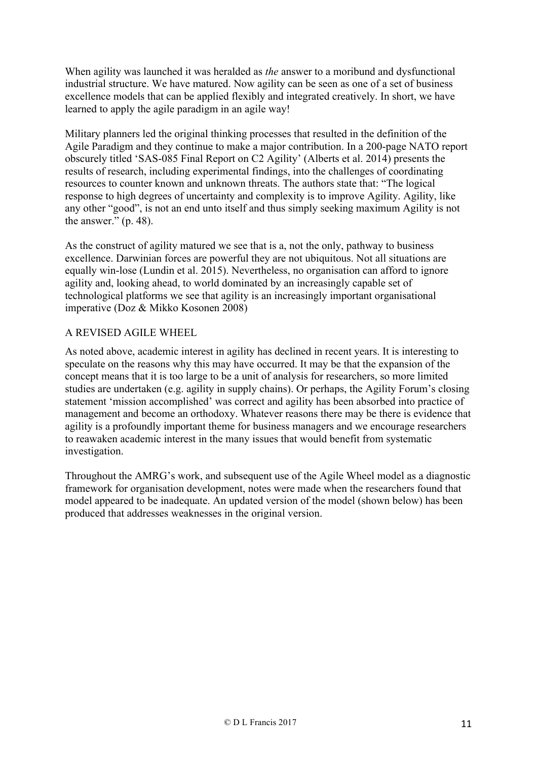When agility was launched it was heralded as *the* answer to a moribund and dysfunctional industrial structure. We have matured. Now agility can be seen as one of a set of business excellence models that can be applied flexibly and integrated creatively. In short, we have learned to apply the agile paradigm in an agile way!

Military planners led the original thinking processes that resulted in the definition of the Agile Paradigm and they continue to make a major contribution. In a 200-page NATO report obscurely titled 'SAS-085 Final Report on C2 Agility' (Alberts et al. 2014) presents the results of research, including experimental findings, into the challenges of coordinating resources to counter known and unknown threats. The authors state that: "The logical response to high degrees of uncertainty and complexity is to improve Agility. Agility, like any other "good", is not an end unto itself and thus simply seeking maximum Agility is not the answer." (p. 48).

As the construct of agility matured we see that is a, not the only, pathway to business excellence. Darwinian forces are powerful they are not ubiquitous. Not all situations are equally win-lose (Lundin et al. 2015). Nevertheless, no organisation can afford to ignore agility and, looking ahead, to world dominated by an increasingly capable set of technological platforms we see that agility is an increasingly important organisational imperative (Doz & Mikko Kosonen 2008)

## A REVISED AGILE WHEEL

As noted above, academic interest in agility has declined in recent years. It is interesting to speculate on the reasons why this may have occurred. It may be that the expansion of the concept means that it is too large to be a unit of analysis for researchers, so more limited studies are undertaken (e.g. agility in supply chains). Or perhaps, the Agility Forum's closing statement 'mission accomplished' was correct and agility has been absorbed into practice of management and become an orthodoxy. Whatever reasons there may be there is evidence that agility is a profoundly important theme for business managers and we encourage researchers to reawaken academic interest in the many issues that would benefit from systematic investigation.

Throughout the AMRG's work, and subsequent use of the Agile Wheel model as a diagnostic framework for organisation development, notes were made when the researchers found that model appeared to be inadequate. An updated version of the model (shown below) has been produced that addresses weaknesses in the original version.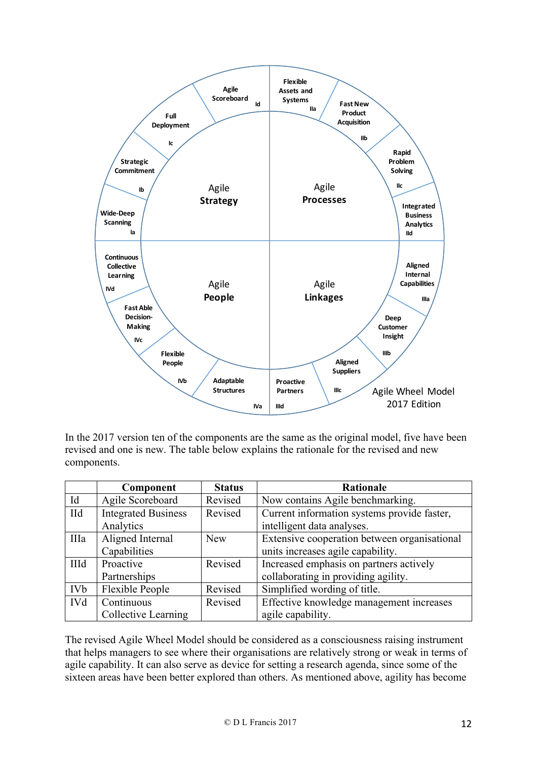

In the 2017 version ten of the components are the same as the original model, five have been revised and one is new. The table below explains the rationale for the revised and new components.

|            | Component                  | <b>Status</b> | <b>Rationale</b>                             |
|------------|----------------------------|---------------|----------------------------------------------|
| Id         | Agile Scoreboard           | Revised       | Now contains Agile benchmarking.             |
| <b>IId</b> | <b>Integrated Business</b> | Revised       | Current information systems provide faster,  |
|            | Analytics                  |               | intelligent data analyses.                   |
| IIIa       | Aligned Internal           | <b>New</b>    | Extensive cooperation between organisational |
|            | Capabilities               |               | units increases agile capability.            |
| IIId       | Proactive                  | Revised       | Increased emphasis on partners actively      |
|            | Partnerships               |               | collaborating in providing agility.          |
| <b>IVb</b> | Flexible People            | Revised       | Simplified wording of title.                 |
| <b>IVd</b> | Continuous                 | Revised       | Effective knowledge management increases     |
|            | Collective Learning        |               | agile capability.                            |

The revised Agile Wheel Model should be considered as a consciousness raising instrument that helps managers to see where their organisations are relatively strong or weak in terms of agile capability. It can also serve as device for setting a research agenda, since some of the sixteen areas have been better explored than others. As mentioned above, agility has become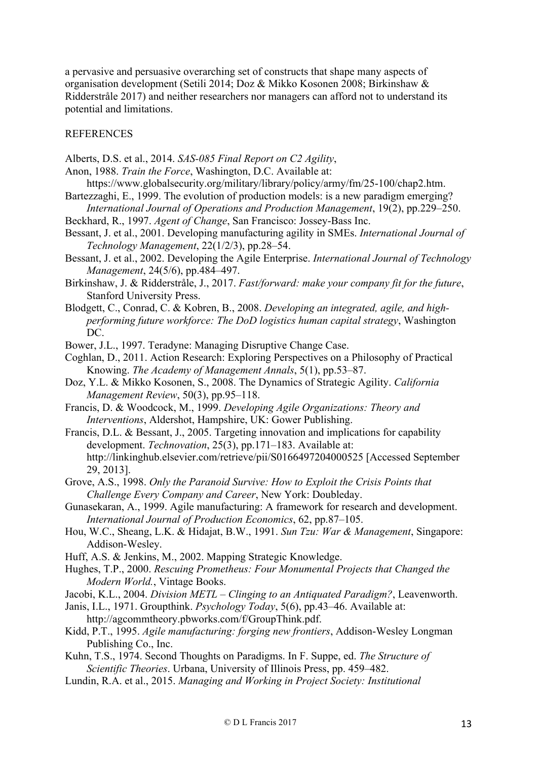a pervasive and persuasive overarching set of constructs that shape many aspects of organisation development (Setili 2014; Doz & Mikko Kosonen 2008; Birkinshaw & Ridderstråle 2017) and neither researchers nor managers can afford not to understand its potential and limitations.

#### REFERENCES

- Alberts, D.S. et al., 2014. *SAS-085 Final Report on C2 Agility*,
- Anon, 1988. *Train the Force*, Washington, D.C. Available at:
- https://www.globalsecurity.org/military/library/policy/army/fm/25-100/chap2.htm. Bartezzaghi, E., 1999. The evolution of production models: is a new paradigm emerging? *International Journal of Operations and Production Management*, 19(2), pp.229–250.
- Beckhard, R., 1997. *Agent of Change*, San Francisco: Jossey-Bass Inc.
- Bessant, J. et al., 2001. Developing manufacturing agility in SMEs. *International Journal of Technology Management*, 22(1/2/3), pp.28–54.
- Bessant, J. et al., 2002. Developing the Agile Enterprise. *International Journal of Technology Management*, 24(5/6), pp.484–497.
- Birkinshaw, J. & Ridderstråle, J., 2017. *Fast/forward: make your company fit for the future*, Stanford University Press.
- Blodgett, C., Conrad, C. & Kobren, B., 2008. *Developing an integrated, agile, and highperforming future workforce: The DoD logistics human capital strategy*, Washington DC.
- Bower, J.L., 1997. Teradyne: Managing Disruptive Change Case.
- Coghlan, D., 2011. Action Research: Exploring Perspectives on a Philosophy of Practical Knowing. *The Academy of Management Annals*, 5(1), pp.53–87.
- Doz, Y.L. & Mikko Kosonen, S., 2008. The Dynamics of Strategic Agility. *California Management Review*, 50(3), pp.95–118.
- Francis, D. & Woodcock, M., 1999. *Developing Agile Organizations: Theory and Interventions*, Aldershot, Hampshire, UK: Gower Publishing.
- Francis, D.L. & Bessant, J., 2005. Targeting innovation and implications for capability development. *Technovation*, 25(3), pp.171–183. Available at: http://linkinghub.elsevier.com/retrieve/pii/S0166497204000525 [Accessed September 29, 2013].
- Grove, A.S., 1998. *Only the Paranoid Survive: How to Exploit the Crisis Points that Challenge Every Company and Career*, New York: Doubleday.
- Gunasekaran, A., 1999. Agile manufacturing: A framework for research and development. *International Journal of Production Economics*, 62, pp.87–105.
- Hou, W.C., Sheang, L.K. & Hidajat, B.W., 1991. *Sun Tzu: War & Management*, Singapore: Addison-Wesley.
- Huff, A.S. & Jenkins, M., 2002. Mapping Strategic Knowledge.
- Hughes, T.P., 2000. *Rescuing Prometheus: Four Monumental Projects that Changed the Modern World.*, Vintage Books.
- Jacobi, K.L., 2004. *Division METL – Clinging to an Antiquated Paradigm?*, Leavenworth.
- Janis, I.L., 1971. Groupthink. *Psychology Today*, 5(6), pp.43–46. Available at: http://agcommtheory.pbworks.com/f/GroupThink.pdf.
- Kidd, P.T., 1995. *Agile manufacturing: forging new frontiers*, Addison-Wesley Longman Publishing Co., Inc.
- Kuhn, T.S., 1974. Second Thoughts on Paradigms. In F. Suppe, ed. *The Structure of Scientific Theories*. Urbana, University of Illinois Press, pp. 459–482.
- Lundin, R.A. et al., 2015. *Managing and Working in Project Society: Institutional*